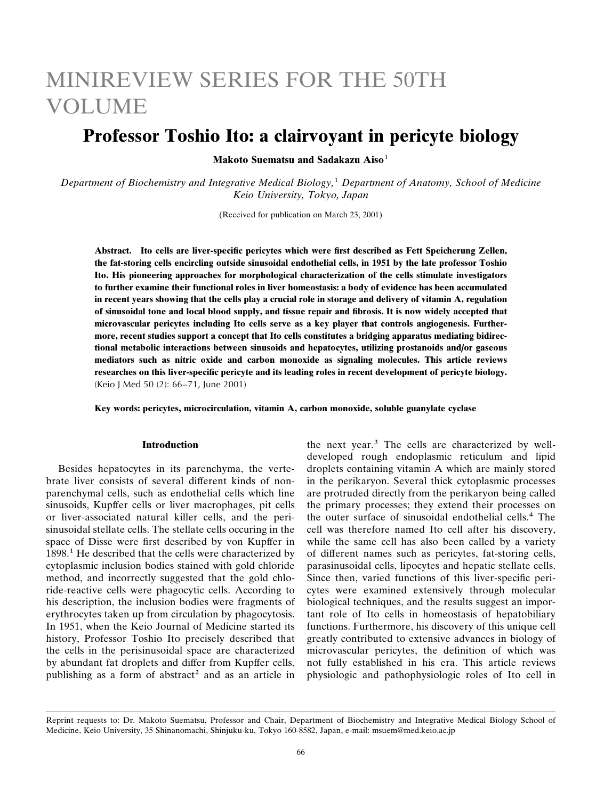# MINIREVIEW SERIES FOR THE 50TH **VOLUME**

## Professor Toshio Ito: a clairvoyant in pericyte biology

Makoto Suematsu and Sadakazu Aiso<sup>1</sup>

Department of Biochemistry and Integrative Medical Biology,<sup>1</sup> Department of Anatomy, School of Medicine Keio University, Tokyo, Japan

(Received for publication on March 23, 2001)

Abstract. Ito cells are liver-specific pericytes which were first described as Fett Speicherung Zellen, the fat-storing cells encircling outside sinusoidal endothelial cells, in 1951 by the late professor Toshio Ito. His pioneering approaches for morphological characterization of the cells stimulate investigators to further examine their functional roles in liver homeostasis: a body of evidence has been accumulated in recent years showing that the cells play a crucial role in storage and delivery of vitamin A, regulation of sinusoidal tone and local blood supply, and tissue repair and fibrosis. It is now widely accepted that microvascular pericytes including Ito cells serve as a key player that controls angiogenesis. Furthermore, recent studies support a concept that Ito cells constitutes a bridging apparatus mediating bidirectional metabolic interactions between sinusoids and hepatocytes, utilizing prostanoids and/or gaseous mediators such as nitric oxide and carbon monoxide as signaling molecules. This article reviews researches on this liver-specific pericyte and its leading roles in recent development of pericyte biology. (Keio J Med 50 (2): 66-71, June 2001)

Key words: pericytes, microcirculation, vitamin A, carbon monoxide, soluble guanylate cyclase

#### **Introduction**

Besides hepatocytes in its parenchyma, the vertebrate liver consists of several different kinds of nonparenchymal cells, such as endothelial cells which line sinusoids, Kupffer cells or liver macrophages, pit cells or liver-associated natural killer cells, and the perisinusoidal stellate cells. The stellate cells occuring in the space of Disse were first described by von Kupffer in 1898.<sup>1</sup> He described that the cells were characterized by cytoplasmic inclusion bodies stained with gold chloride method, and incorrectly suggested that the gold chloride-reactive cells were phagocytic cells. According to his description, the inclusion bodies were fragments of erythrocytes taken up from circulation by phagocytosis. In 1951, when the Keio Journal of Medicine started its history, Professor Toshio Ito precisely described that the cells in the perisinusoidal space are characterized by abundant fat droplets and differ from Kupffer cells, publishing as a form of abstract<sup>2</sup> and as an article in

the next year.<sup>3</sup> The cells are characterized by welldeveloped rough endoplasmic reticulum and lipid droplets containing vitamin A which are mainly stored in the perikaryon. Several thick cytoplasmic processes are protruded directly from the perikaryon being called the primary processes; they extend their processes on the outer surface of sinusoidal endothelial cells.<sup>4</sup> The cell was therefore named Ito cell after his discovery, while the same cell has also been called by a variety of different names such as pericytes, fat-storing cells, parasinusoidal cells, lipocytes and hepatic stellate cells. Since then, varied functions of this liver-specific pericytes were examined extensively through molecular biological techniques, and the results suggest an important role of Ito cells in homeostasis of hepatobiliary functions. Furthermore, his discovery of this unique cell greatly contributed to extensive advances in biology of microvascular pericytes, the definition of which was not fully established in his era. This article reviews physiologic and pathophysiologic roles of Ito cell in

Reprint requests to: Dr. Makoto Suematsu, Professor and Chair, Department of Biochemistry and Integrative Medical Biology School of Medicine, Keio University, 35 Shinanomachi, Shinjuku-ku, Tokyo 160-8582, Japan, e-mail: msuem@med.keio.ac.jp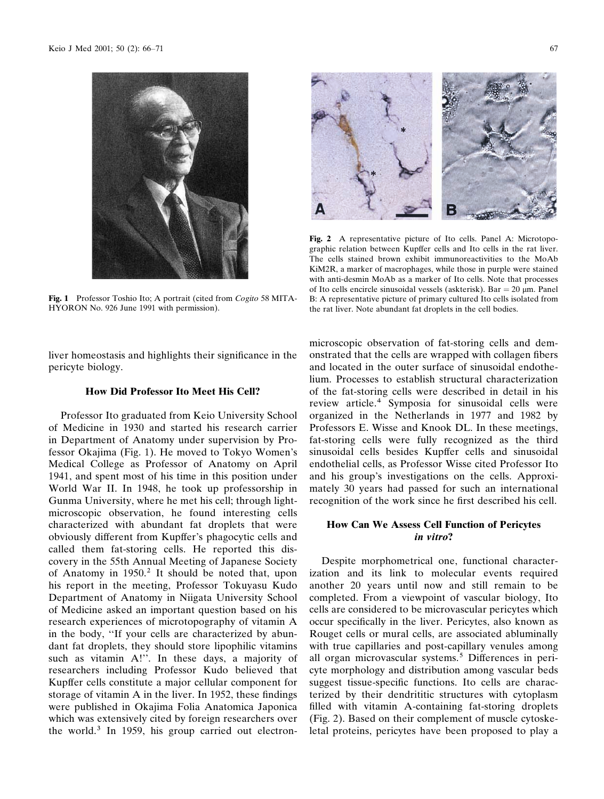

Fig. 1 Professor Toshio Ito; A portrait (cited from *Cogito* 58 MITA-HYORON No. 926 June 1991 with permission).

liver homeostasis and highlights their significance in the pericyte biology.

#### **How Did Professor Ito Meet His Cell?**

Professor Ito graduated from Keio University School of Medicine in 1930 and started his research carrier in Department of Anatomy under supervision by Professor Okajima (Fig. 1). He moved to Tokyo Women's Medical College as Professor of Anatomy on April 1941, and spent most of his time in this position under World War II. In 1948, he took up professorship in Gunma University, where he met his cell; through lightmicroscopic observation, he found interesting cells characterized with abundant fat droplets that were obviously different from Kupffer's phagocytic cells and called them fat-storing cells. He reported this discovery in the 55th Annual Meeting of Japanese Society of Anatomy in 1950.<sup>2</sup> It should be noted that, upon his report in the meeting, Professor Tokuyasu Kudo Department of Anatomy in Niigata University School of Medicine asked an important question based on his research experiences of microtopography of vitamin A in the body, "If your cells are characterized by abundant fat droplets, they should store lipophilic vitamins such as vitamin A!". In these days, a majority of researchers including Professor Kudo believed that Kupffer cells constitute a major cellular component for storage of vitamin A in the liver. In 1952, these findings were published in Okajima Folia Anatomica Japonica which was extensively cited by foreign researchers over the world.<sup>3</sup> In 1959, his group carried out electron-



Fig. 2 A representative picture of Ito cells. Panel A: Microtopographic relation between Kupffer cells and Ito cells in the rat liver. The cells stained brown exhibit immunoreactivities to the MoAb KiM2R, a marker of macrophages, while those in purple were stained with anti-desmin MoAb as a marker of Ito cells. Note that processes of Ito cells encircle sinusoidal vessels (askterisk). Bar =  $20 \mu m$ . Panel B: A representative picture of primary cultured Ito cells isolated from the rat liver. Note abundant fat droplets in the cell bodies.

microscopic observation of fat-storing cells and demonstrated that the cells are wrapped with collagen fibers and located in the outer surface of sinusoidal endothelium. Processes to establish structural characterization of the fat-storing cells were described in detail in his review article.<sup>4</sup> Symposia for sinusoidal cells were organized in the Netherlands in 1977 and 1982 by Professors E. Wisse and Knook DL. In these meetings, fat-storing cells were fully recognized as the third sinusoidal cells besides Kupffer cells and sinusoidal endothelial cells, as Professor Wisse cited Professor Ito and his group's investigations on the cells. Approximately 30 years had passed for such an international recognition of the work since he first described his cell.

### **How Can We Assess Cell Function of Pericytes** in vitro?

Despite morphometrical one, functional characterization and its link to molecular events required another 20 years until now and still remain to be completed. From a viewpoint of vascular biology, Ito cells are considered to be microvascular pericytes which occur specifically in the liver. Pericytes, also known as Rouget cells or mural cells, are associated abluminally with true capillaries and post-capillary venules among all organ microvascular systems.<sup>5</sup> Differences in pericyte morphology and distribution among vascular beds suggest tissue-specific functions. Ito cells are characterized by their dendrititic structures with cytoplasm filled with vitamin A-containing fat-storing droplets (Fig. 2). Based on their complement of muscle cytoskeletal proteins, pericytes have been proposed to play a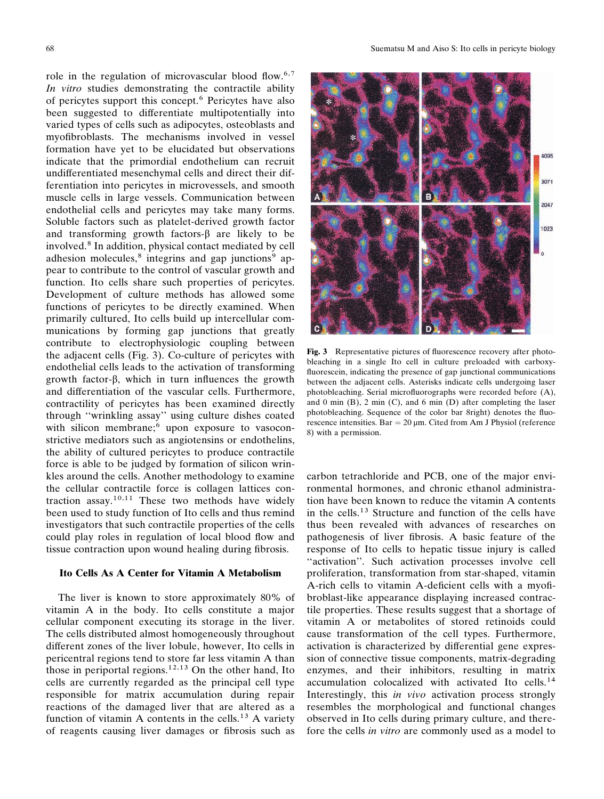role in the regulation of microvascular blood flow.<sup>6,7</sup> In vitro studies demonstrating the contractile ability of pericytes support this concept.<sup>6</sup> Pericytes have also been suggested to differentiate multipotentially into varied types of cells such as adipocytes, osteoblasts and myofibroblasts. The mechanisms involved in vessel formation have yet to be elucidated but observations indicate that the primordial endothelium can recruit undifferentiated mesenchymal cells and direct their differentiation into pericytes in microvessels, and smooth muscle cells in large vessels. Communication between endothelial cells and pericytes may take many forms. Soluble factors such as platelet-derived growth factor and transforming growth factors- $\beta$  are likely to be involved.<sup>8</sup> In addition, physical contact mediated by cell adhesion molecules,<sup>8</sup> integrins and gap junctions<sup>9</sup> appear to contribute to the control of vascular growth and function. Ito cells share such properties of pericytes. Development of culture methods has allowed some functions of pericytes to be directly examined. When primarily cultured, Ito cells build up intercellular communications by forming gap junctions that greatly contribute to electrophysiologic coupling between the adjacent cells (Fig. 3). Co-culture of pericytes with endothelial cells leads to the activation of transforming growth factor- $\beta$ , which in turn influences the growth and differentiation of the vascular cells. Furthermore, contractility of pericytes has been examined directly through "wrinkling assay" using culture dishes coated with silicon membrane;<sup>6</sup> upon exposure to vasoconstrictive mediators such as angiotensins or endothelins, the ability of cultured pericytes to produce contractile force is able to be judged by formation of silicon wrinkles around the cells. Another methodology to examine the cellular contractile force is collagen lattices contraction assay.<sup>10,11</sup> These two methods have widely been used to study function of Ito cells and thus remind investigators that such contractile properties of the cells could play roles in regulation of local blood flow and tissue contraction upon wound healing during fibrosis.

#### Ito Cells As A Center for Vitamin A Metabolism

The liver is known to store approximately 80% of vitamin A in the body. Ito cells constitute a major cellular component executing its storage in the liver. The cells distributed almost homogeneously throughout different zones of the liver lobule, however, Ito cells in pericentral regions tend to store far less vitamin A than those in periportal regions.<sup>12,13</sup> On the other hand, Ito cells are currently regarded as the principal cell type responsible for matrix accumulation during repair reactions of the damaged liver that are altered as a function of vitamin A contents in the cells.<sup>13</sup> A variety of reagents causing liver damages or fibrosis such as



Fig. 3 Representative pictures of fluorescence recovery after photobleaching in a single Ito cell in culture preloaded with carboxyfluorescein, indicating the presence of gap junctional communications between the adjacent cells. Asterisks indicate cells undergoing laser photobleaching. Serial microfluorographs were recorded before (A), and 0 min  $(B)$ , 2 min  $(C)$ , and 6 min  $(D)$  after completing the laser photobleaching. Sequence of the color bar 8right) denotes the fluorescence intensities. Bar =  $20 \mu m$ . Cited from Am J Physiol (reference 8) with a permission.

carbon tetrachloride and PCB, one of the major environmental hormones, and chronic ethanol administration have been known to reduce the vitamin A contents in the cells.<sup>13</sup> Structure and function of the cells have thus been revealed with advances of researches on pathogenesis of liver fibrosis. A basic feature of the response of Ito cells to hepatic tissue injury is called "activation". Such activation processes involve cell proliferation, transformation from star-shaped, vitamin A-rich cells to vitamin A-deficient cells with a myofibroblast-like appearance displaying increased contractile properties. These results suggest that a shortage of vitamin A or metabolites of stored retinoids could cause transformation of the cell types. Furthermore, activation is characterized by differential gene expression of connective tissue components, matrix-degrading enzymes, and their inhibitors, resulting in matrix accumulation colocalized with activated Ito cells.<sup>14</sup> Interestingly, this *in vivo* activation process strongly resembles the morphological and functional changes observed in Ito cells during primary culture, and therefore the cells *in vitro* are commonly used as a model to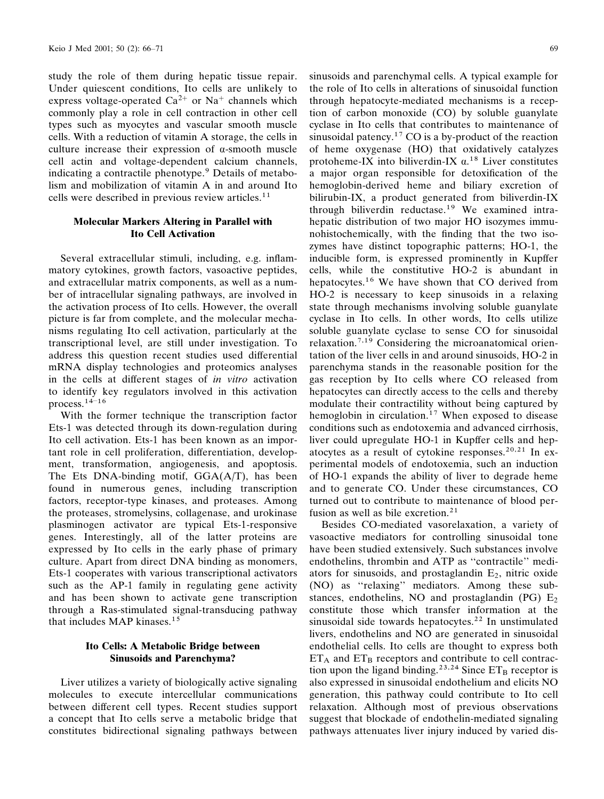study the role of them during hepatic tissue repair. Under quiescent conditions, Ito cells are unlikely to express voltage-operated  $Ca^{2+}$  or Na<sup>+</sup> channels which commonly play a role in cell contraction in other cell types such as myocytes and vascular smooth muscle cells. With a reduction of vitamin A storage, the cells in culture increase their expression of  $\alpha$ -smooth muscle cell actin and voltage-dependent calcium channels, indicating a contractile phenotype.<sup>9</sup> Details of metabolism and mobilization of vitamin A in and around Ito cells were described in previous review articles.<sup>11</sup>

#### **Molecular Markers Altering in Parallel with Ito Cell Activation**

Several extracellular stimuli, including, e.g. inflammatory cytokines, growth factors, vasoactive peptides, and extracellular matrix components, as well as a number of intracellular signaling pathways, are involved in the activation process of Ito cells. However, the overall picture is far from complete, and the molecular mechanisms regulating Ito cell activation, particularly at the transcriptional level, are still under investigation. To address this question recent studies used differential mRNA display technologies and proteomics analyses in the cells at different stages of in vitro activation to identify key regulators involved in this activation process.  $14-16$ 

With the former technique the transcription factor Ets-1 was detected through its down-regulation during Ito cell activation. Ets-1 has been known as an important role in cell proliferation, differentiation, development, transformation, angiogenesis, and apoptosis. The Ets DNA-binding motif,  $GGA(A/T)$ , has been found in numerous genes, including transcription factors, receptor-type kinases, and proteases. Among the proteases, stromelysins, collagenase, and urokinase plasminogen activator are typical Ets-1-responsive genes. Interestingly, all of the latter proteins are expressed by Ito cells in the early phase of primary culture. Apart from direct DNA binding as monomers, Ets-1 cooperates with various transcriptional activators such as the AP-1 family in regulating gene activity and has been shown to activate gene transcription through a Ras-stimulated signal-transducing pathway that includes MAP kinases.<sup>15</sup>

#### Ito Cells: A Metabolic Bridge between **Sinusoids and Parenchyma?**

Liver utilizes a variety of biologically active signaling molecules to execute intercellular communications between different cell types. Recent studies support a concept that Ito cells serve a metabolic bridge that constitutes bidirectional signaling pathways between

sinusoids and parenchymal cells. A typical example for the role of Ito cells in alterations of sinusoidal function through hepatocyte-mediated mechanisms is a reception of carbon monoxide (CO) by soluble guanylate cyclase in Ito cells that contributes to maintenance of sinusoidal patency.<sup>17</sup> CO is a by-product of the reaction of heme oxygenase (HO) that oxidatively catalyzes protoheme-IX into biliverdin-IX  $\alpha$ <sup>18</sup> Liver constitutes a major organ responsible for detoxification of the hemoglobin-derived heme and biliary excretion of bilirubin-IX, a product generated from biliverdin-IX through biliverdin reductase.<sup>19</sup> We examined intrahepatic distribution of two major HO isozymes immunohistochemically, with the finding that the two isozymes have distinct topographic patterns; HO-1, the inducible form, is expressed prominently in Kupffer cells, while the constitutive HO-2 is abundant in hepatocytes.<sup>16</sup> We have shown that CO derived from HO-2 is necessary to keep sinusoids in a relaxing state through mechanisms involving soluble guanylate cyclase in Ito cells. In other words, Ito cells utilize soluble guanylate cyclase to sense CO for sinusoidal relaxation.<sup>7,19</sup> Considering the microanatomical orientation of the liver cells in and around sinusoids, HO-2 in parenchyma stands in the reasonable position for the gas reception by Ito cells where CO released from hepatocytes can directly access to the cells and thereby modulate their contractility without being captured by hemoglobin in circulation.<sup>17</sup> When exposed to disease conditions such as endotoxemia and advanced cirrhosis, liver could upregulate HO-1 in Kupffer cells and hepatocytes as a result of cytokine responses.<sup>20,21</sup> In experimental models of endotoxemia, such an induction of HO-1 expands the ability of liver to degrade heme and to generate CO. Under these circumstances, CO turned out to contribute to maintenance of blood perfusion as well as bile excretion.<sup>21</sup>

Besides CO-mediated vasorelaxation, a variety of vasoactive mediators for controlling sinusoidal tone have been studied extensively. Such substances involve endothelins, thrombin and ATP as "contractile" mediators for sinusoids, and prostaglandin  $E_2$ , nitric oxide (NO) as "relaxing" mediators. Among these substances, endothelins, NO and prostaglandin (PG)  $E_2$ constitute those which transfer information at the sinusoidal side towards hepatocytes.<sup>22</sup> In unstimulated livers, endothelins and NO are generated in sinusoidal endothelial cells. Ito cells are thought to express both  $ET_A$  and  $ET_B$  receptors and contribute to cell contraction upon the ligand binding.<sup>23,24</sup> Since  $ET_B$  receptor is also expressed in sinusoidal endothelium and elicits NO generation, this pathway could contribute to Ito cell relaxation. Although most of previous observations suggest that blockade of endothelin-mediated signaling pathways attenuates liver injury induced by varied dis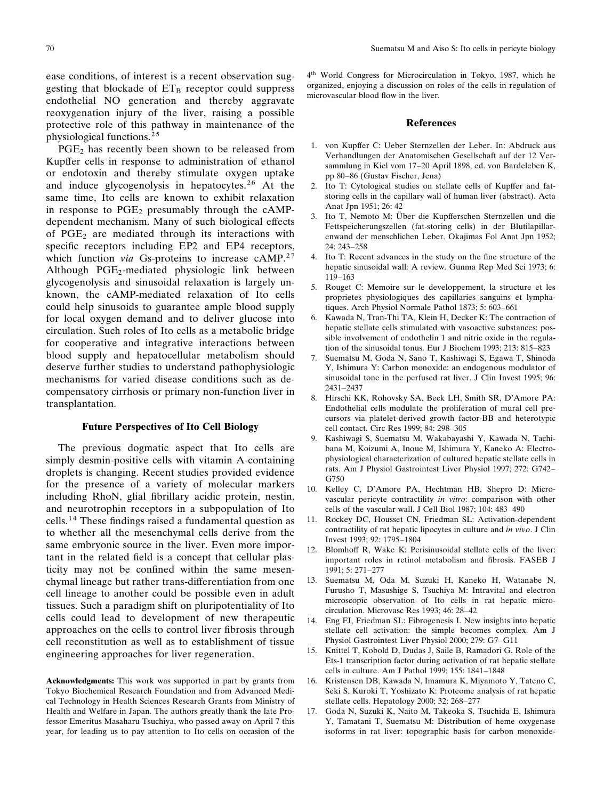ease conditions, of interest is a recent observation suggesting that blockade of  $ET_B$  receptor could suppress endothelial NO generation and thereby aggravate reoxygenation injury of the liver, raising a possible protective role of this pathway in maintenance of the physiological functions.<sup>25</sup>

PGE<sub>2</sub> has recently been shown to be released from Kupffer cells in response to administration of ethanol or endotoxin and thereby stimulate oxygen uptake and induce glycogenolysis in hepatocytes.<sup>26</sup> At the same time, Ito cells are known to exhibit relaxation in response to  $PGE_2$  presumably through the cAMPdependent mechanism. Many of such biological effects of  $PGE_2$  are mediated through its interactions with specific receptors including EP2 and EP4 receptors, which function *via* Gs-proteins to increase  $cAMP<sup>27</sup>$ Although PGE<sub>2</sub>-mediated physiologic link between glycogenolysis and sinusoidal relaxation is largely unknown, the cAMP-mediated relaxation of Ito cells could help sinusoids to guarantee ample blood supply for local oxygen demand and to deliver glucose into circulation. Such roles of Ito cells as a metabolic bridge for cooperative and integrative interactions between blood supply and hepatocellular metabolism should deserve further studies to understand pathophysiologic mechanisms for varied disease conditions such as decompensatory cirrhosis or primary non-function liver in transplantation.

#### **Future Perspectives of Ito Cell Biology**

The previous dogmatic aspect that Ito cells are simply desmin-positive cells with vitamin A-containing droplets is changing. Recent studies provided evidence for the presence of a variety of molecular markers including RhoN, glial fibrillary acidic protein, nestin, and neurotrophin receptors in a subpopulation of Ito cells.<sup>14</sup> These findings raised a fundamental question as to whether all the mesenchymal cells derive from the same embryonic source in the liver. Even more important in the related field is a concept that cellular plasticity may not be confined within the same mesenchymal lineage but rather trans-differentiation from one cell lineage to another could be possible even in adult tissues. Such a paradigm shift on pluripotentiality of Ito cells could lead to development of new therapeutic approaches on the cells to control liver fibrosis through cell reconstitution as well as to establishment of tissue engineering approaches for liver regeneration.

Acknowledgments: This work was supported in part by grants from Tokyo Biochemical Research Foundation and from Advanced Medical Technology in Health Sciences Research Grants from Ministry of Health and Welfare in Japan. The authors greatly thank the late Professor Emeritus Masaharu Tsuchiya, who passed away on April 7 this year, for leading us to pay attention to Ito cells on occasion of the 4<sup>th</sup> World Congress for Microcirculation in Tokyo, 1987, which he organized, enjoying a discussion on roles of the cells in regulation of microvascular blood flow in the liver.

#### **References**

- 1. von Kupffer C: Ueber Sternzellen der Leber. In: Abdruck aus Verhandlungen der Anatomischen Gesellschaft auf der 12 Versammlung in Kiel vom 17-20 April 1898, ed. von Bardeleben K, pp 80-86 (Gustav Fischer, Jena)
- $2.$ Ito T: Cytological studies on stellate cells of Kupffer and fatstoring cells in the capillary wall of human liver (abstract). Acta Anat Jpn 1951; 26: 42
- 3. Ito T, Nemoto M: Über die Kupfferschen Sternzellen und die Fettspeicherungszellen (fat-storing cells) in der Blutilapillarenwand der menschlichen Leber. Okajimas Fol Anat Jpn 1952; 24: 243-258
- 4. Ito T: Recent advances in the study on the fine structure of the hepatic sinusoidal wall: A review. Gunma Rep Med Sci 1973; 6:  $119 - 163$
- 5. Rouget C: Memoire sur le developpement, la structure et les proprietes physiologiques des capillaries sanguins et lymphatiques. Arch Physiol Normale Pathol 1873; 5: 603-661
- Kawada N, Tran-Thi TA, Klein H, Decker K: The contraction of 6. hepatic stellate cells stimulated with vasoactive substances: possible involvement of endothelin 1 and nitric oxide in the regulation of the sinusoidal tonus. Eur J Biochem 1993; 213: 815-823
- $\mathcal{I}$ Suematsu M, Goda N, Sano T, Kashiwagi S, Egawa T, Shinoda Y, Ishimura Y: Carbon monoxide: an endogenous modulator of sinusoidal tone in the perfused rat liver. J Clin Invest 1995; 96: 2431-2437
- 8. Hirschi KK, Rohovsky SA, Beck LH, Smith SR, D'Amore PA: Endothelial cells modulate the proliferation of mural cell precursors via platelet-derived growth factor-BB and heterotypic cell contact. Circ Res 1999; 84: 298-305
- 9. Kashiwagi S, Suematsu M, Wakabayashi Y, Kawada N, Tachibana M, Koizumi A, Inoue M, Ishimura Y, Kaneko A: Electrophysiological characterization of cultured hepatic stellate cells in rats. Am J Physiol Gastrointest Liver Physiol 1997; 272: G742-G750
- 10. Kelley C, D'Amore PA, Hechtman HB, Shepro D: Microvascular pericyte contractility in vitro: comparison with other cells of the vascular wall. J Cell Biol 1987; 104: 483-490
- $11.$ Rockey DC, Housset CN, Friedman SL: Activation-dependent contractility of rat hepatic lipocytes in culture and in vivo. J Clin Invest 1993; 92: 1795-1804
- $12<sub>1</sub>$ Blomhoff R, Wake K: Perisinusoidal stellate cells of the liver: important roles in retinol metabolism and fibrosis. FASEB J 1991; 5: 271-277
- 13. Suematsu M, Oda M, Suzuki H, Kaneko H, Watanabe N, Furusho T, Masushige S, Tsuchiya M: Intravital and electron microscopic observation of Ito cells in rat hepatic microcirculation. Microvasc Res 1993; 46: 28-42
- $14.$ Eng FJ, Friedman SL: Fibrogenesis I. New insights into hepatic stellate cell activation: the simple becomes complex. Am J Physiol Gastrointest Liver Physiol 2000; 279: G7-G11
- Knittel T, Kobold D, Dudas J, Saile B, Ramadori G. Role of the 15. Ets-1 transcription factor during activation of rat hepatic stellate cells in culture. Am J Pathol 1999; 155: 1841-1848
- Kristensen DB, Kawada N, Imamura K, Miyamoto Y, Tateno C, 16. Seki S, Kuroki T, Yoshizato K: Proteome analysis of rat hepatic stellate cells. Hepatology 2000; 32: 268-277
- 17. Goda N, Suzuki K, Naito M, Takeoka S, Tsuchida E, Ishimura Y, Tamatani T, Suematsu M: Distribution of heme oxygenase isoforms in rat liver: topographic basis for carbon monoxide-